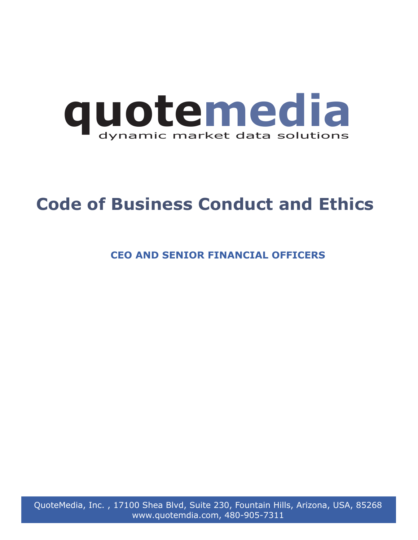

## **Code of Business Conduct and Ethics**

**CEO AND SENIOR FINANCIAL OFFICERS**

QuoteMedia, Inc. , 17100 Shea Blvd, Suite 230, Fountain Hills, Arizona, USA, 85268 www.quotemdia.com, 480-905-7311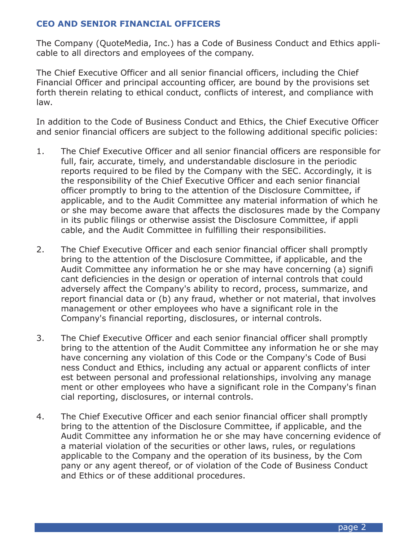## **CEO AND SENIOR FINANCIAL OFFICERS**

The Company (QuoteMedia, Inc.) has a Code of Business Conduct and Ethics applicable to all directors and employees of the company.

The Chief Executive Officer and all senior financial officers, including the Chief Financial Officer and principal accounting officer, are bound by the provisions set forth therein relating to ethical conduct, conflicts of interest, and compliance with law.

In addition to the Code of Business Conduct and Ethics, the Chief Executive Officer and senior financial officers are subject to the following additional specific policies:

- 1. The Chief Executive Officer and all senior financial officers are responsible for full, fair, accurate, timely, and understandable disclosure in the periodic reports required to be filed by the Company with the SEC. Accordingly, it is the responsibility of the Chief Executive Officer and each senior financial officer promptly to bring to the attention of the Disclosure Committee, if applicable, and to the Audit Committee any material information of which he or she may become aware that affects the disclosures made by the Company in its public filings or otherwise assist the Disclosure Committee, if appli cable, and the Audit Committee in fulfilling their responsibilities.
- 2. The Chief Executive Officer and each senior financial officer shall promptly bring to the attention of the Disclosure Committee, if applicable, and the Audit Committee any information he or she may have concerning (a) signifi cant deficiencies in the design or operation of internal controls that could adversely affect the Company's ability to record, process, summarize, and report financial data or (b) any fraud, whether or not material, that involves management or other employees who have a significant role in the Company's financial reporting, disclosures, or internal controls.
- 3. The Chief Executive Officer and each senior financial officer shall promptly bring to the attention of the Audit Committee any information he or she may have concerning any violation of this Code or the Company's Code of Busi ness Conduct and Ethics, including any actual or apparent conflicts of inter est between personal and professional relationships, involving any manage ment or other employees who have a significant role in the Company's finan cial reporting, disclosures, or internal controls.
- 4. The Chief Executive Officer and each senior financial officer shall promptly bring to the attention of the Disclosure Committee, if applicable, and the Audit Committee any information he or she may have concerning evidence of a material violation of the securities or other laws, rules, or regulations applicable to the Company and the operation of its business, by the Com pany or any agent thereof, or of violation of the Code of Business Conduct and Ethics or of these additional procedures.